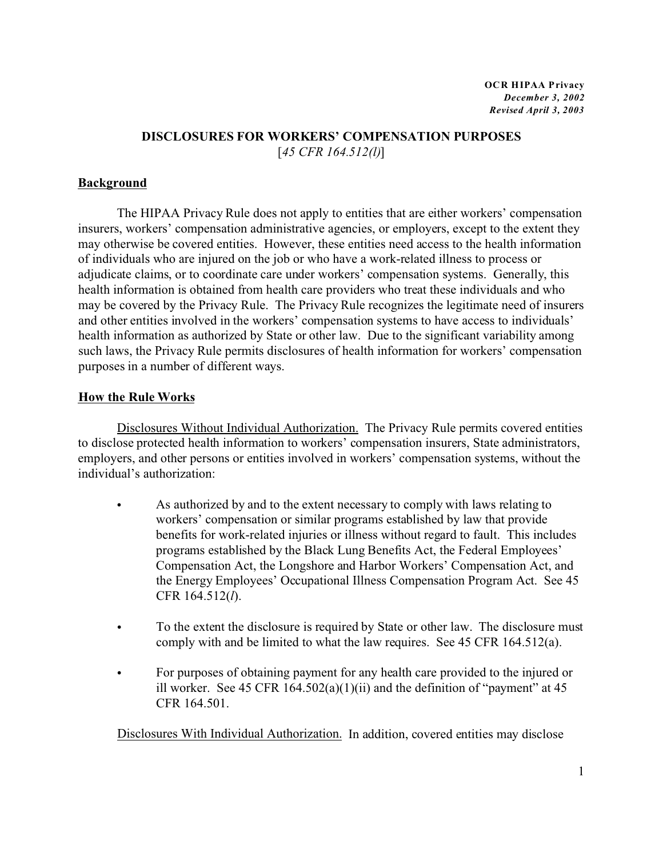# **DISCLOSURES FOR WORKERS' COMPENSATION PURPOSES** [*45 CFR 164.512(l)*]

# **Background**

The HIPAA Privacy Rule does not apply to entities that are either workers' compensation insurers, workers' compensation administrative agencies, or employers, except to the extent they may otherwise be covered entities. However, these entities need access to the health information of individuals who are injured on the job or who have a work-related illness to process or adjudicate claims, or to coordinate care under workers' compensation systems. Generally, this health information is obtained from health care providers who treat these individuals and who may be covered by the Privacy Rule. The Privacy Rule recognizes the legitimate need of insurers and other entities involved in the workers' compensation systems to have access to individuals' health information as authorized by State or other law. Due to the significant variability among such laws, the Privacy Rule permits disclosures of health information for workers' compensation purposes in a number of different ways.

### **How the Rule Works**

Disclosures Without Individual Authorization. The Privacy Rule permits covered entities to disclose protected health information to workers' compensation insurers, State administrators, employers, and other persons or entities involved in workers' compensation systems, without the individual's authorization:

- As authorized by and to the extent necessary to comply with laws relating to workers' compensation or similar programs established by law that provide benefits for work-related injuries or illness without regard to fault. This includes programs established by the Black Lung Benefits Act, the Federal Employees' Compensation Act, the Longshore and Harbor Workers' Compensation Act, and the Energy Employees' Occupational Illness Compensation Program Act. See 45 CFR 164.512(*l*).
- To the extent the disclosure is required by State or other law. The disclosure must comply with and be limited to what the law requires. See 45 CFR 164.512(a).
- For purposes of obtaining payment for any health care provided to the injured or ill worker. See 45 CFR  $164.502(a)(1)(ii)$  and the definition of "payment" at 45 CFR 164.501.

Disclosures With Individual Authorization. In addition, covered entities may disclose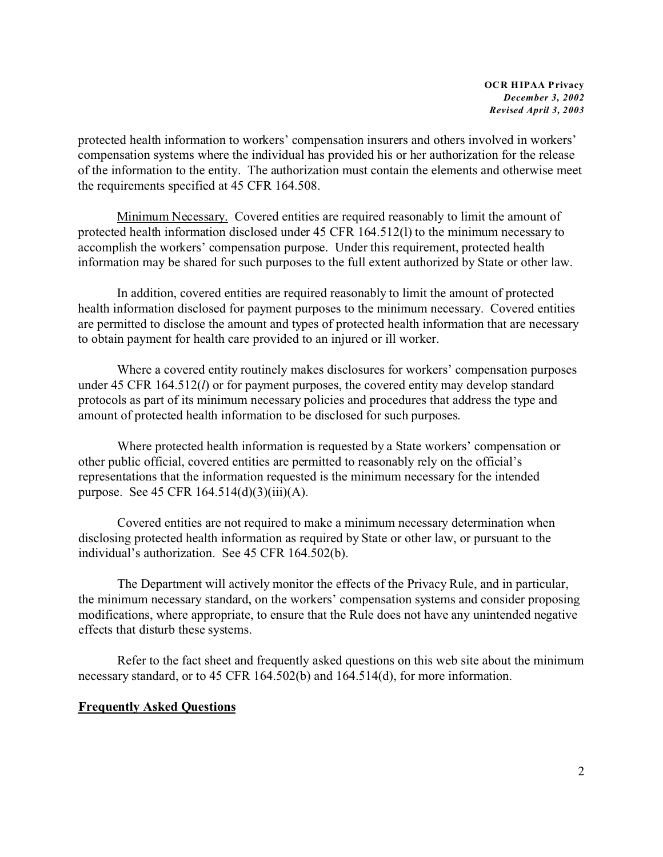**OCR HIPAA Privacy** *December 3, 2002 Revised April 3, 2003*

protected health information to workers' compensation insurers and others involved in workers' compensation systems where the individual has provided his or her authorization for the release of the information to the entity. The authorization must contain the elements and otherwise meet the requirements specified at 45 CFR 164.508.

Minimum Necessary. Covered entities are required reasonably to limit the amount of protected health information disclosed under 45 CFR 164.512(l) to the minimum necessary to accomplish the workers' compensation purpose. Under this requirement, protected health information may be shared for such purposes to the full extent authorized by State or other law.

In addition, covered entities are required reasonably to limit the amount of protected health information disclosed for payment purposes to the minimum necessary. Covered entities are permitted to disclose the amount and types of protected health information that are necessary to obtain payment for health care provided to an injured or ill worker.

Where a covered entity routinely makes disclosures for workers' compensation purposes under 45 CFR 164.512(*l*) or for payment purposes, the covered entity may develop standard protocols as part of its minimum necessary policies and procedures that address the type and amount of protected health information to be disclosed for such purposes.

Where protected health information is requested by a State workers' compensation or other public official, covered entities are permitted to reasonably rely on the official's representations that the information requested is the minimum necessary for the intended purpose. See 45 CFR 164.514(d)(3)(iii)(A).

Covered entities are not required to make a minimum necessary determination when disclosing protected health information as required by State or other law, or pursuant to the individual's authorization. See 45 CFR 164.502(b).

The Department will actively monitor the effects of the Privacy Rule, and in particular, the minimum necessary standard, on the workers' compensation systems and consider proposing modifications, where appropriate, to ensure that the Rule does not have any unintended negative effects that disturb these systems.

Refer to the fact sheet and frequently asked questions on this web site about the minimum necessary standard, or to 45 CFR 164.502(b) and 164.514(d), for more information.

#### **Frequently Asked Questions**